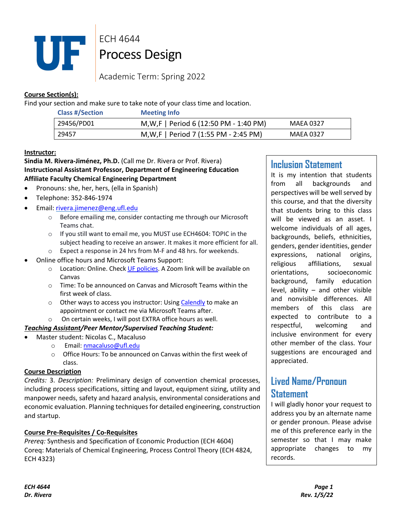

ECH 4644 Process Design

Academic Term: Spring 2022

# **Course Section(s):**

Find your section and make sure to take note of your class time and location.

| <b>Class #/Section</b> | <b>Meeting Info</b>                     |                  |
|------------------------|-----------------------------------------|------------------|
| 29456/PD01             | M, W, F   Period 6 (12:50 PM - 1:40 PM) | <b>MAEA 0327</b> |
| 29457                  | M, W, F   Period 7 (1:55 PM - 2:45 PM)  | MAEA 0327        |

## **Instructor:**

# **Sindia M. Rivera-Jiménez, Ph.D.** (Call me Dr. Rivera or Prof. Rivera) **Instructional Assistant Professor, Department of Engineering Education Affiliate Faculty Chemical Engineering Department**

- Pronouns: she, her, hers, (ella in Spanish)
- Telephone: 352-846-1974
- Email: rivera.jimenez@eng.ufl.edu
	- o Before emailing me, consider contacting me through our Microsoft Teams chat.
	- o If you still want to email me, you MUST use ECH4604: TOPIC in the subject heading to receive an answer. It makes it more efficient for all. o Expect a response in 24 hrs from M-F and 48 hrs. for weekends.
	- Online office hours and Microsoft Teams Support:
		- o Location: Online. Check UF policies. A Zoom link will be available on Canvas
		- o Time: To be announced on Canvas and Microsoft Teams within the first week of class.
		- o Other ways to access you instructor: Using Calendly to make an appointment or contact me via Microsoft Teams after.
		- o On certain weeks, I will post EXTRA office hours as well.

# *Teaching Assistant/Peer Mentor/Supervised Teaching Student:*

- Master student: Nicolas C., Macaluso
	- o Email: nmacaluso@ufl.edu
	- o Office Hours: To be announced on Canvas within the first week of class.

# **Course Description**

*Credits:* 3. *Description:* Preliminary design of convention chemical processes, including process specifications, sitting and layout, equipment sizing, utility and manpower needs, safety and hazard analysis, environmental considerations and economic evaluation. Planning techniques for detailed engineering, construction and startup.

# **Course Pre-Requisites / Co-Requisites**

*Prereq:* Synthesis and Specification of Economic Production (ECH 4604) Coreq: Materials of Chemical Engineering, Process Control Theory (ECH 4824, ECH 4323)

# **Inclusion Statement**

It is my intention that students from all backgrounds and perspectives will be well served by this course, and that the diversity that students bring to this class will be viewed as an asset. I welcome individuals of all ages, backgrounds, beliefs, ethnicities, genders, gender identities, gender expressions, national origins, religious affiliations, sexual orientations, socioeconomic background, family education level, ability – and other visible and nonvisible differences. All members of this class are expected to contribute to a respectful, welcoming and inclusive environment for every other member of the class. Your suggestions are encouraged and appreciated.

# **Lived Name/Pronoun Statement**

I will gladly honor your request to address you by an alternate name or gender pronoun. Please advise me of this preference early in the semester so that I may make appropriate changes to my records.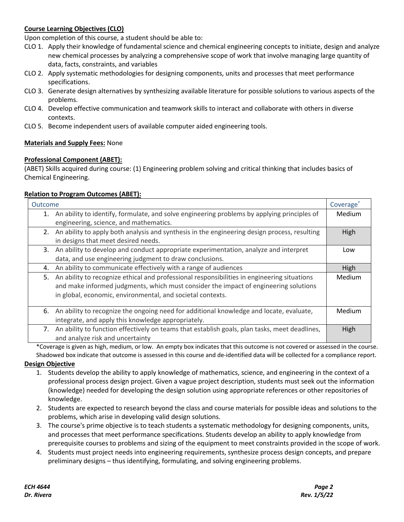# **Course Learning Objectives (CLO)**

Upon completion of this course, a student should be able to:

- CLO 1. Apply their knowledge of fundamental science and chemical engineering concepts to initiate, design and analyze new chemical processes by analyzing a comprehensive scope of work that involve managing large quantity of data, facts, constraints, and variables
- CLO 2. Apply systematic methodologies for designing components, units and processes that meet performance specifications.
- CLO 3. Generate design alternatives by synthesizing available literature for possible solutions to various aspects of the problems.
- CLO 4. Develop effective communication and teamwork skills to interact and collaborate with others in diverse contexts.
- CLO 5. Become independent users of available computer aided engineering tools.

#### **Materials and Supply Fees:** None

#### **Professional Component (ABET):**

(ABET) Skills acquired during course: (1) Engineering problem solving and critical thinking that includes basics of Chemical Engineering.

#### **Relation to Program Outcomes (ABET):**

| Outcome |                                                                                               | Coverage <sup>®</sup> |
|---------|-----------------------------------------------------------------------------------------------|-----------------------|
| 1.      | An ability to identify, formulate, and solve engineering problems by applying principles of   | Medium                |
|         | engineering, science, and mathematics.                                                        |                       |
| 2.      | An ability to apply both analysis and synthesis in the engineering design process, resulting  | High                  |
|         | in designs that meet desired needs.                                                           |                       |
|         | 3. An ability to develop and conduct appropriate experimentation, analyze and interpret       | Low                   |
|         | data, and use engineering judgment to draw conclusions.                                       |                       |
| 4.      | An ability to communicate effectively with a range of audiences                               | High                  |
| 5.      | An ability to recognize ethical and professional responsibilities in engineering situations   | Medium                |
|         | and make informed judgments, which must consider the impact of engineering solutions          |                       |
|         | in global, economic, environmental, and societal contexts.                                    |                       |
|         |                                                                                               |                       |
| 6.      | An ability to recognize the ongoing need for additional knowledge and locate, evaluate,       | Medium                |
|         | integrate, and apply this knowledge appropriately.                                            |                       |
| 7.      | An ability to function effectively on teams that establish goals, plan tasks, meet deadlines, | High                  |
|         | and analyze risk and uncertainty                                                              |                       |

\*Coverage is given as high, medium, or low. An empty box indicates that this outcome is not covered or assessed in the course. Shadowed box indicate that outcome is assessed in this course and de-identified data will be collected for a compliance report.

#### **Design Objective**

- 1. Students develop the ability to apply knowledge of mathematics, science, and engineering in the context of a professional process design project. Given a vague project description, students must seek out the information (knowledge) needed for developing the design solution using appropriate references or other repositories of knowledge.
- 2. Students are expected to research beyond the class and course materials for possible ideas and solutions to the problems, which arise in developing valid design solutions.
- 3. The course's prime objective is to teach students a systematic methodology for designing components, units, and processes that meet performance specifications. Students develop an ability to apply knowledge from prerequisite courses to problems and sizing of the equipment to meet constraints provided in the scope of work.
- 4. Students must project needs into engineering requirements, synthesize process design concepts, and prepare preliminary designs – thus identifying, formulating, and solving engineering problems.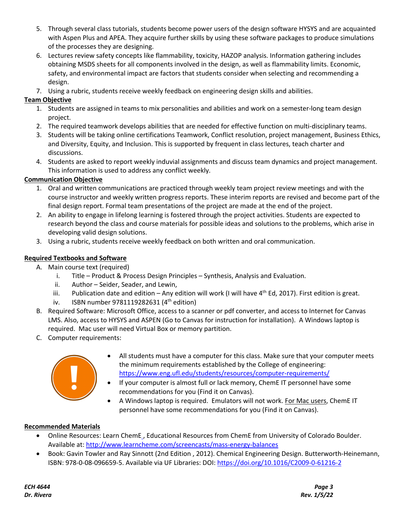- 5. Through several class tutorials, students become power users of the design software HYSYS and are acquainted with Aspen Plus and APEA. They acquire further skills by using these software packages to produce simulations of the processes they are designing.
- 6. Lectures review safety concepts like flammability, toxicity, HAZOP analysis. Information gathering includes obtaining MSDS sheets for all components involved in the design, as well as flammability limits. Economic, safety, and environmental impact are factors that students consider when selecting and recommending a design.
- 7. Using a rubric, students receive weekly feedback on engineering design skills and abilities.

# **Team Objective**

- 1. Students are assigned in teams to mix personalities and abilities and work on a semester-long team design project.
- 2. The required teamwork develops abilities that are needed for effective function on multi-disciplinary teams.
- 3. Students will be taking online certifications Teamwork, Conflict resolution, project management, Business Ethics, and Diversity, Equity, and Inclusion. This is supported by frequent in class lectures, teach charter and discussions.
- 4. Students are asked to report weekly induvial assignments and discuss team dynamics and project management. This information is used to address any conflict weekly.

# **Communication Objective**

- 1. Oral and written communications are practiced through weekly team project review meetings and with the course instructor and weekly written progress reports. These interim reports are revised and become part of the final design report. Formal team presentations of the project are made at the end of the project.
- 2. An ability to engage in lifelong learning is fostered through the project activities. Students are expected to research beyond the class and course materials for possible ideas and solutions to the problems, which arise in developing valid design solutions.
- 3. Using a rubric, students receive weekly feedback on both written and oral communication.

# **Required Textbooks and Software**

- A. Main course text (required)
	- i. Title Product & Process Design Principles Synthesis, Analysis and Evaluation.
	- ii. Author Seider, Seader, and Lewin,
	- iii. Publication date and edition Any edition will work (I will have  $4^{th}$  Ed, 2017). First edition is great.
	- iv. ISBN number  $9781119282631$  (4<sup>th</sup> edition)
- B. Required Software: Microsoft Office, access to a scanner or pdf converter, and access to Internet for Canvas LMS. Also, access to HYSYS and ASPEN (Go to Canvas for instruction for installation). A Windows laptop is required. Mac user will need Virtual Box or memory partition.
- C. Computer requirements:



- All students must have a computer for this class. Make sure that your computer meets the minimum requirements established by the College of engineering: https://www.eng.ufl.edu/students/resources/computer-requirements/
- If your computer is almost full or lack memory, ChemE IT personnel have some recommendations for you (Find it on Canvas).
- A Windows laptop is required. Emulators will not work. For Mac users, ChemE IT personnel have some recommendations for you (Find it on Canvas).

## **Recommended Materials**

- Online Resources: Learn ChemE , Educational Resources from ChemE from University of Colorado Boulder. Available at: http://www.learncheme.com/screencasts/mass-energy-balances
- Book: Gavin Towler and Ray Sinnott (2nd Edition , 2012). Chemical Engineering Design. Butterworth-Heinemann, ISBN: 978-0-08-096659-5. Available via UF Libraries: DOI: https://doi.org/10.1016/C2009-0-61216-2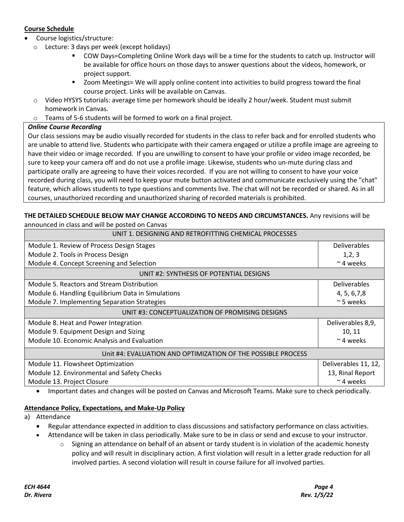# **Course Schedule**

- Course logistics/structure:
	- o Lecture: 3 days per week (except holidays)
		- § COW Days=Completing Online Work days will be a time for the students to catch up. Instructor will be available for office hours on those days to answer questions about the videos, homework, or project support.
		- § Zoom Meetings= We will apply online content into activities to build progress toward the final course project. Links will be available on Canvas.
	- o Video HYSYS tutorials: average time per homework should be ideally 2 hour/week. Student must submit homework in Canvas.
	- o Teams of 5-6 students will be formed to work on a final project.

#### *Online Course Recording*

Our class sessions may be audio visually recorded for students in the class to refer back and for enrolled students who are unable to attend live. Students who participate with their camera engaged or utilize a profile image are agreeing to have their video or image recorded. If you are unwilling to consent to have your profile or video image recorded, be sure to keep your camera off and do not use a profile image. Likewise, students who un-mute during class and participate orally are agreeing to have their voices recorded. If you are not willing to consent to have your voice recorded during class, you will need to keep your mute button activated and communicate exclusively using the "chat" feature, which allows students to type questions and comments live. The chat will not be recorded or shared. As in all courses, unauthorized recording and unauthorized sharing of recorded materials is prohibited.

#### **THE DETAILED SCHEDULE BELOW MAY CHANGE ACCORDING TO NEEDS AND CIRCUMSTANCES.** Any revisions will be announced in class and will be posted on Canvas

| UNIT 1. DESIGNING AND RETROFITTING CHEMICAL PROCESSES        |                      |  |
|--------------------------------------------------------------|----------------------|--|
| Module 1. Review of Process Design Stages                    | <b>Deliverables</b>  |  |
| Module 2. Tools in Process Design                            | 1,2,3                |  |
| Module 4. Concept Screening and Selection                    | $~\sim$ 4 weeks      |  |
| UNIT #2: SYNTHESIS OF POTENTIAL DESIGNS                      |                      |  |
| Module 5, Reactors and Stream Distribution                   | <b>Deliverables</b>  |  |
| Module 6. Handling Equilibrium Data in Simulations           | 4, 5, 6, 7, 8        |  |
| Module 7. Implementing Separation Strategies                 | $~\sim$ 5 weeks      |  |
| UNIT #3: CONCEPTUALIZATION OF PROMISING DESIGNS              |                      |  |
| Module 8. Heat and Power Integration                         | Deliverables 8,9,    |  |
| Module 9. Equipment Design and Sizing                        | 10, 11               |  |
| Module 10. Economic Analysis and Evaluation                  | $~\sim$ 4 weeks      |  |
| Unit #4: EVALUATION AND OPTIMIZATION OF THE POSSIBLE PROCESS |                      |  |
| Module 11. Flowsheet Optimization                            | Deliverables 11, 12, |  |
| Module 12. Environmental and Safety Checks                   | 13, Rinal Report     |  |
| Module 13. Project Closure                                   | $\sim$ 4 weeks       |  |

• Important dates and changes will be posted on Canvas and Microsoft Teams. Make sure to check periodically.

#### **Attendance Policy, Expectations, and Make-Up Policy**

- a) Attendance
	- Regular attendance expected in addition to class discussions and satisfactory performance on class activities.
	- Attendance will be taken in class periodically. Make sure to be in class or send and excuse to your instructor.
		- $\circ$  Signing an attendance on behalf of an absent or tardy student is in violation of the academic honesty policy and will result in disciplinary action. A first violation will result in a letter grade reduction for all involved parties. A second violation will result in course failure for all involved parties.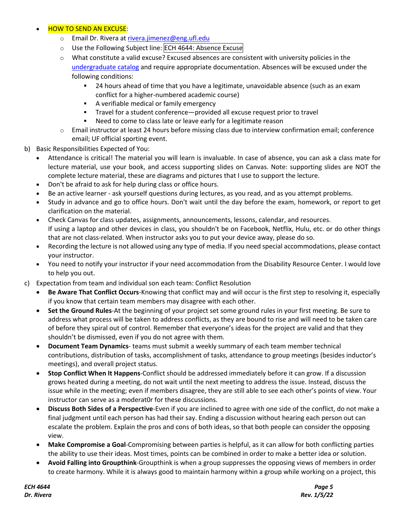## • HOW TO SEND AN EXCUSE:

- o Email Dr. Rivera at rivera.jimenez@eng.ufl.edu
- o Use the Following Subject line: ECH 4644: Absence Excuse
- o What constitute a valid excuse? Excused absences are consistent with university policies in the undergraduate catalog and require appropriate documentation. Absences will be excused under the following conditions:
	- § 24 hours ahead of time that you have a legitimate, unavoidable absence (such as an exam conflict for a higher-numbered academic course)
	- **EXEC** A verifiable medical or family emergency
	- § Travel for a student conference—provided all excuse request prior to travel
	- Need to come to class late or leave early for a legitimate reason
- o Email instructor at least 24 hours before missing class due to interview confirmation email; conference email; UF official sporting event.
- b) Basic Responsibilities Expected of You:
	- Attendance is critical! The material you will learn is invaluable. In case of absence, you can ask a class mate for lecture material, use your book, and access supporting slides on Canvas. Note: supporting slides are NOT the complete lecture material, these are diagrams and pictures that I use to support the lecture.
	- Don't be afraid to ask for help during class or office hours.
	- Be an active learner ask yourself questions during lectures, as you read, and as you attempt problems.
	- Study in advance and go to office hours. Don't wait until the day before the exam, homework, or report to get clarification on the material.
	- Check Canvas for class updates, assignments, announcements, lessons, calendar, and resources. If using a laptop and other devices in class, you shouldn't be on Facebook, Netflix, Hulu, etc. or do other things that are not class-related. When instructor asks you to put your device away, please do so.
	- Recording the lecture is not allowed using any type of media. If you need special accommodations, please contact your instructor.
	- You need to notify your instructor if your need accommodation from the Disability Resource Center. I would love to help you out.
- c) Expectation from team and individual son each team: Conflict Resolution
	- **Be Aware That Conflict Occurs**-Knowing that conflict may and will occur is the first step to resolving it, especially if you know that certain team members may disagree with each other.
	- **Set the Ground Rules**-At the beginning of your project set some ground rules in your first meeting. Be sure to address what process will be taken to address conflicts, as they are bound to rise and will need to be taken care of before they spiral out of control. Remember that everyone's ideas for the project are valid and that they shouldn't be dismissed, even if you do not agree with them.
	- **Document Team Dynamics** teams must submit a weekly summary of each team member technical contributions, distribution of tasks, accomplishment of tasks, attendance to group meetings (besides inductor's meetings), and overall project status.
	- **Stop Conflict When It Happens**-Conflict should be addressed immediately before it can grow. If a discussion grows heated during a meeting, do not wait until the next meeting to address the issue. Instead, discuss the issue while in the meeting; even if members disagree, they are still able to see each other's points of view. Your instructor can serve as a moderat0r for these discussions.
	- **Discuss Both Sides of a Perspective**-Even if you are inclined to agree with one side of the conflict, do not make a final judgment until each person has had their say. Ending a discussion without hearing each person out can escalate the problem. Explain the pros and cons of both ideas, so that both people can consider the opposing view.
	- **Make Compromise a Goal**-Compromising between parties is helpful, as it can allow for both conflicting parties the ability to use their ideas. Most times, points can be combined in order to make a better idea or solution.
	- **Avoid Falling into Groupthink**-Groupthink is when a group suppresses the opposing views of members in order to create harmony. While it is always good to maintain harmony within a group while working on a project, this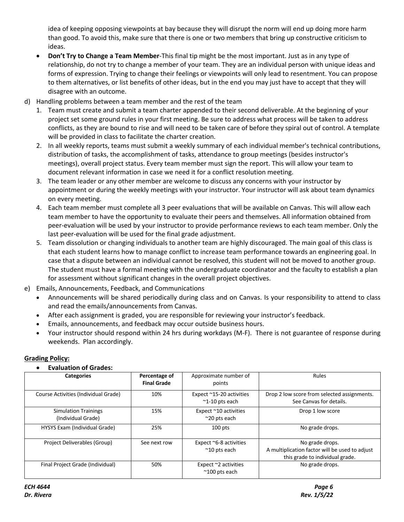idea of keeping opposing viewpoints at bay because they will disrupt the norm will end up doing more harm than good. To avoid this, make sure that there is one or two members that bring up constructive criticism to ideas.

- **Don't Try to Change a Team Member**-This final tip might be the most important. Just as in any type of relationship, do not try to change a member of your team. They are an individual person with unique ideas and forms of expression. Trying to change their feelings or viewpoints will only lead to resentment. You can propose to them alternatives, or list benefits of other ideas, but in the end you may just have to accept that they will disagree with an outcome.
- d) Handling problems between a team member and the rest of the team
	- 1. Team must create and submit a team charter appended to their second deliverable. At the beginning of your project set some ground rules in your first meeting. Be sure to address what process will be taken to address conflicts, as they are bound to rise and will need to be taken care of before they spiral out of control. A template will be provided in class to facilitate the charter creation.
	- 2. In all weekly reports, teams must submit a weekly summary of each individual member's technical contributions, distribution of tasks, the accomplishment of tasks, attendance to group meetings (besides instructor's meetings), overall project status. Every team member must sign the report. This will allow your team to document relevant information in case we need it for a conflict resolution meeting.
	- 3. The team leader or any other member are welcome to discuss any concerns with your instructor by appointment or during the weekly meetings with your instructor. Your instructor will ask about team dynamics on every meeting.
	- 4. Each team member must complete all 3 peer evaluations that will be available on Canvas. This will allow each team member to have the opportunity to evaluate their peers and themselves. All information obtained from peer-evaluation will be used by your instructor to provide performance reviews to each team member. Only the last peer-evaluation will be used for the final grade adjustment.
	- 5. Team dissolution or changing individuals to another team are highly discouraged. The main goal of this class is that each student learns how to manage conflict to increase team performance towards an engineering goal. In case that a dispute between an individual cannot be resolved, this student will not be moved to another group. The student must have a formal meeting with the undergraduate coordinator and the faculty to establish a plan for assessment without significant changes in the overall project objectives.
- e) Emails, Announcements, Feedback, and Communications
	- Announcements will be shared periodically during class and on Canvas. Is your responsibility to attend to class and read the emails/announcements from Canvas.
	- After each assignment is graded, you are responsible for reviewing your instructor's feedback.
	- Emails, announcements, and feedback may occur outside business hours.
	- Your instructor should respond within 24 hrs during workdays (M-F). There is not guarantee of response during weekends. Plan accordingly.

## **Grading Policy:**

## • **Evaluation of Grades:**

| <b>Categories</b>                                 | Percentage of<br><b>Final Grade</b> | Approximate number of<br>points                        | Rules                                                                                                |
|---------------------------------------------------|-------------------------------------|--------------------------------------------------------|------------------------------------------------------------------------------------------------------|
| Course Activities (Individual Grade)              | 10%                                 | Expect ~15-20 activities<br>$~^{\sim}$ 1-10 pts each   | Drop 2 low score from selected assignments.<br>See Canvas for details.                               |
| <b>Simulation Trainings</b><br>(Individual Grade) | 15%                                 | Expect ~10 activities<br>$~20$ pts each                | Drop 1 low score                                                                                     |
| HYSYS Exam (Individual Grade)                     | 25%                                 | $100$ pts                                              | No grade drops.                                                                                      |
| Project Deliverables (Group)                      | See next row                        | Expect $\sim$ 6-8 activities<br>$~^{\sim}$ 10 pts each | No grade drops.<br>A multiplication factor will be used to adjust<br>this grade to individual grade. |
| Final Project Grade (Individual)                  | 50%                                 | Expect $\sim$ 2 activities<br>$^{\sim}$ 100 pts each   | No grade drops.                                                                                      |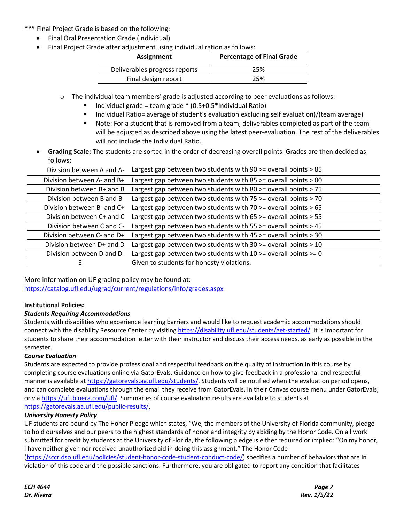### \*\*\* Final Project Grade is based on the following:

- Final Oral Presentation Grade (Individual)
- Final Project Grade after adjustment using individual ration as follows:

| Assignment                    | <b>Percentage of Final Grade</b> |  |
|-------------------------------|----------------------------------|--|
| Deliverables progress reports | 25%                              |  |
| Final design report           | 25%                              |  |

- o The individual team members' grade is adjusted according to peer evaluations as follows:
	- Individual grade = team grade  $*(0.5+0.5*)$ Individual Ratio)
	- Individual Ratio= average of student's evaluation excluding self evaluation)/(team average)
	- Note: For a student that is removed from a team, deliverables completed as part of the team will be adjusted as described above using the latest peer-evaluation. The rest of the deliverables will not include the Individual Ratio.
- **Grading Scale:** The students are sorted in the order of decreasing overall points. Grades are then decided as follows:

| Largest gap between two students with 90 >= overall points > 85                                                                               |
|-----------------------------------------------------------------------------------------------------------------------------------------------|
| Largest gap between two students with $85 \ge$ overall points $> 80$                                                                          |
| Largest gap between two students with $80 \ge$ overall points $> 75$                                                                          |
| Largest gap between two students with 75 >= overall points > 70                                                                               |
| Largest gap between two students with $70 \ge$ overall points $> 65$                                                                          |
| Largest gap between two students with $65 \ge$ overall points $> 55$                                                                          |
| Largest gap between two students with $55 \ge$ overall points $> 45$                                                                          |
| Largest gap between two students with $45 \ge$ overall points $> 30$                                                                          |
| Largest gap between two students with $30 \ge$ overall points $> 10$                                                                          |
| Largest gap between two students with $10 \ge$ overall points $\ge$ = 0                                                                       |
| Given to students for honesty violations.                                                                                                     |
| Division between A and A-<br>Division between B and B-<br>Division between C+ and C<br>Division between D+ and D<br>Division between D and D- |

More information on UF grading policy may be found at: https://catalog.ufl.edu/ugrad/current/regulations/info/grades.aspx

## **Institutional Policies:**

## *Students Requiring Accommodations*

Students with disabilities who experience learning barriers and would like to request academic accommodations should connect with the disability Resource Center by visiting https://disability.ufl.edu/students/get-started/. It is important for students to share their accommodation letter with their instructor and discuss their access needs, as early as possible in the semester.

#### *Course Evaluation*

Students are expected to provide professional and respectful feedback on the quality of instruction in this course by completing course evaluations online via GatorEvals. Guidance on how to give feedback in a professional and respectful manner is available at https://gatorevals.aa.ufl.edu/students/. Students will be notified when the evaluation period opens, and can complete evaluations through the email they receive from GatorEvals, in their Canvas course menu under GatorEvals, or via https://ufl.bluera.com/ufl/. Summaries of course evaluation results are available to students at https://gatorevals.aa.ufl.edu/public-results/.

#### *University Honesty Policy*

UF students are bound by The Honor Pledge which states, "We, the members of the University of Florida community, pledge to hold ourselves and our peers to the highest standards of honor and integrity by abiding by the Honor Code. On all work submitted for credit by students at the University of Florida, the following pledge is either required or implied: "On my honor, I have neither given nor received unauthorized aid in doing this assignment." The Honor Code (https://sccr.dso.ufl.edu/policies/student-honor-code-student-conduct-code/) specifies a number of behaviors that are in violation of this code and the possible sanctions. Furthermore, you are obligated to report any condition that facilitates